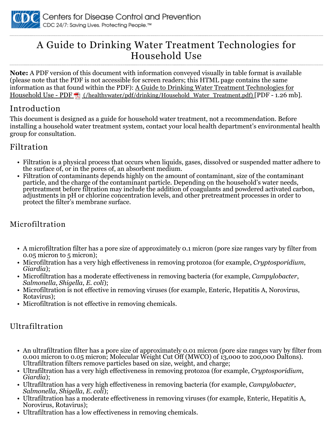

# A Guide to Drinking Water Treatment Technologies for Household Use

**Note:** A PDF version of this document with information conveyed visually in table format is available (please note that the PDF is not accessible for screen readers; this HTML page contains the same information as that found within the PDF): A Guide to Drinking Water Treatment Technologies for Household Use - PDF (/healthywater/pdf/drinking/Household Water Treatment.pdf) [PDF - 1.26 mb].

# Introduction

This document is designed as a guide for household water treatment, not a recommendation. Before installing a household water treatment system, contact your local health department's environmental health group for consultation.

#### Filtration

- Filtration is a physical process that occurs when liquids, gases, dissolved or suspended matter adhere to the surface of, or in the pores of, an absorbent medium.
- Filtration of contaminants depends highly on the amount of contaminant, size of the contaminant particle, and the charge of the contaminant particle. Depending on the household's water needs, pretreatment before filtration may include the addition of coagulants and powdered activated carbon, adjustments in pH or chlorine concentration levels, and other pretreatment processes in order to protect the filter's membrane surface.

# Microfiltration

- A microfiltration filter has a pore size of approximately 0.1 micron (pore size ranges vary by filter from 0.05 micron to 5 micron);
- Microfiltration has a very high effectiveness in removing protozoa (for example, *Cryptosporidium*, *Giardia*);
- Microfiltration has a moderate effectiveness in removing bacteria (for example, *Campylobacter*, *Salmonella*, *Shigella*, *E. coli*);
- Microfiltration is not effective in removing viruses (for example, Enteric, Hepatitis A, Norovirus, Rotavirus);
- Microfiltration is not effective in removing chemicals.

# Ultrafiltration

- An ultrafiltration filter has a pore size of approximately 0.01 micron (pore size ranges vary by filter from 0.001 micron to 0.05 micron; Molecular Weight Cut Off (MWCO) of 13,000 to 200,000 Daltons). Ultrafiltration filters remove particles based on size, weight, and charge;
- Ultrafiltration has a very high effectiveness in removing protozoa (for example, *Cryptosporidium*, *Giardia*);
- Ultrafiltration has a very high effectiveness in removing bacteria (for example, *Campylobacter*, *Salmonella*, *Shigella*, *E. coli*);
- Ultrafiltration has a moderate effectiveness in removing viruses (for example, Enteric, Hepatitis A, Norovirus, Rotavirus);
- Ultrafiltration has a low effectiveness in removing chemicals.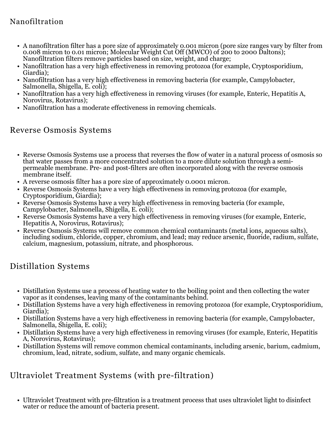# Nanofiltration

- A nanofiltration filter has a pore size of approximately 0.001 micron (pore size ranges vary by filter from 0.008 micron to 0.01 micron; Molecular Weight Cut Off (MWCO) of 200 to 2000 Daltons); Nanofiltration filters remove particles based on size, weight, and charge;
- Nanofiltration has a very high effectiveness in removing protozoa (for example, Cryptosporidium, Giardia);
- Nanofiltration has a very high effectiveness in removing bacteria (for example, Campylobacter, Salmonella, Shigella, E. coli);
- Nanofiltration has a very high effectiveness in removing viruses (for example, Enteric, Hepatitis A, Norovirus, Rotavirus);
- Nanofiltration has a moderate effectiveness in removing chemicals.

#### Reverse Osmosis Systems

- Reverse Osmosis Systems use a process that reverses the flow of water in a natural process of osmosis so that water passes from a more concentrated solution to a more dilute solution through a semipermeable membrane. Pre- and post-filters are often incorporated along with the reverse osmosis membrane itself.
- A reverse osmosis filter has a pore size of approximately 0.0001 micron.
- Reverse Osmosis Systems have a very high effectiveness in removing protozoa (for example, Cryptosporidium, Giardia);
- Reverse Osmosis Systems have a very high effectiveness in removing bacteria (for example, Campylobacter, Salmonella, Shigella, E. coli);
- Reverse Osmosis Systems have a very high effectiveness in removing viruses (for example, Enteric, Hepatitis A, Norovirus, Rotavirus);
- Reverse Osmosis Systems will remove common chemical contaminants (metal ions, aqueous salts), including sodium, chloride, copper, chromium, and lead; may reduce arsenic, fluoride, radium, sulfate, calcium, magnesium, potassium, nitrate, and phosphorous.

# Distillation Systems

- Distillation Systems use a process of heating water to the boiling point and then collecting the water vapor as it condenses, leaving many of the contaminants behind.
- Distillation Systems have a very high effectiveness in removing protozoa (for example, Cryptosporidium, Giardia);
- Distillation Systems have a very high effectiveness in removing bacteria (for example, Campylobacter, Salmonella, Shigella, E. coli);
- Distillation Systems have a very high effectiveness in removing viruses (for example, Enteric, Hepatitis A, Norovirus, Rotavirus);
- Distillation Systems will remove common chemical contaminants, including arsenic, barium, cadmium, chromium, lead, nitrate, sodium, sulfate, and many organic chemicals.

# Ultraviolet Treatment Systems (with pre-filtration)

• Ultraviolet Treatment with pre-filtration is a treatment process that uses ultraviolet light to disinfect water or reduce the amount of bacteria present.